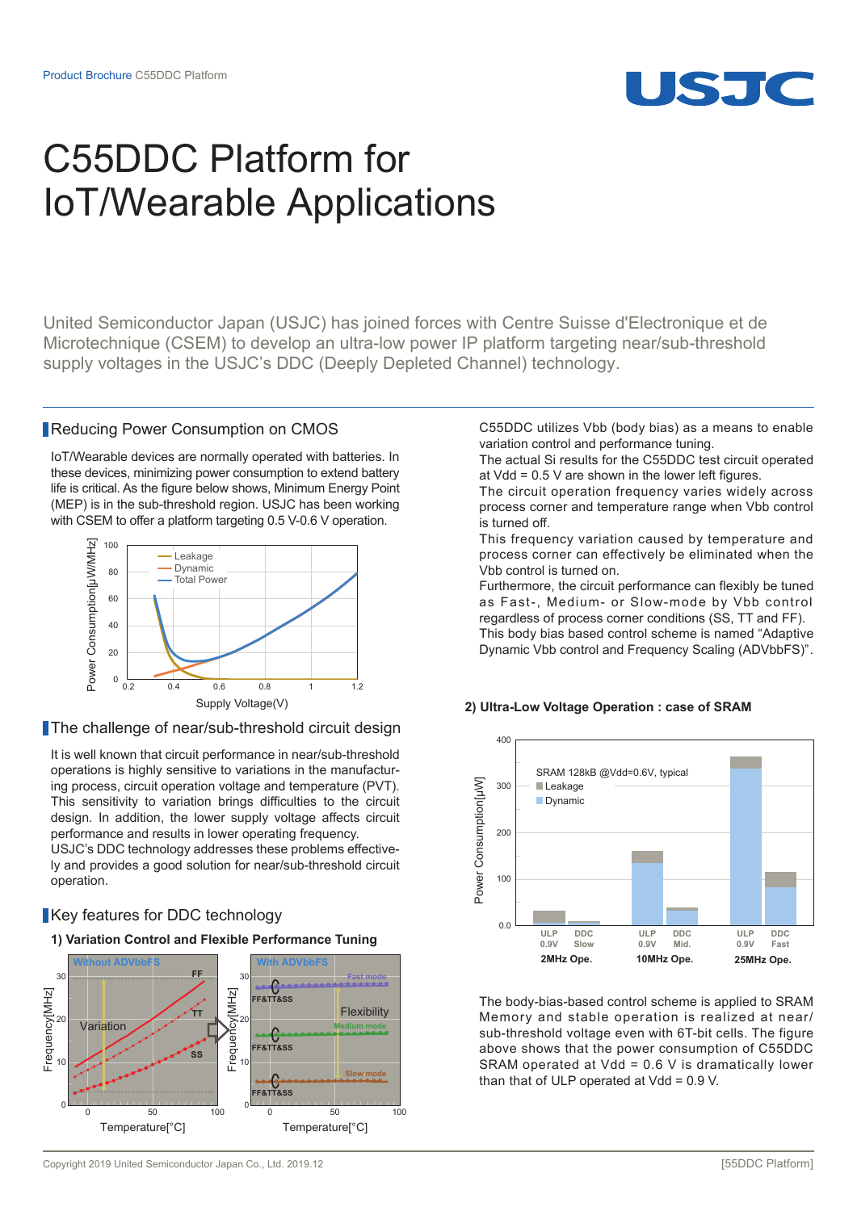

# C55DDC Platform for IoT/Wearable Applications

United Semiconductor Japan (USJC) has joined forces with Centre Suisse d'Electronique et de Microtechnique (CSEM) to develop an ultra-low power IP platform targeting near/sub-threshold supply voltages in the USJC's DDC (Deeply Depleted Channel) technology.

## Reducing Power Consumption on CMOS

IoT/Wearable devices are normally operated with batteries. In these devices, minimizing power consumption to extend battery life is critical. As the figure below shows, Minimum Energy Point (MEP) is in the sub-threshold region. USJC has been working with CSEM to offer a platform targeting 0.5 V-0.6 V operation.



## The challenge of near/sub-threshold circuit design

It is well known that circuit performance in near/sub-threshold operations is highly sensitive to variations in the manufacturing process, circuit operation voltage and temperature (PVT). This sensitivity to variation brings difficulties to the circuit design. In addition, the lower supply voltage affects circuit performance and results in lower operating frequency.

USJC's DDC technology addresses these problems effectively and provides a good solution for near/sub-threshold circuit operation.

# Key features for DDC technology



### **1) Variation Control and Flexible Performance Tuning**

C55DDC utilizes Vbb (body bias) as a means to enable variation control and performance tuning.

The actual Si results for the C55DDC test circuit operated at Vdd =  $0.5$  V are shown in the lower left figures.

The circuit operation frequency varies widely across process corner and temperature range when Vbb control is turned off.

This frequency variation caused by temperature and process corner can effectively be eliminated when the Vbb control is turned on.

Furthermore, the circuit performance can flexibly be tuned as Fast-, Medium- or Slow-mode by Vbb control regardless of process corner conditions (SS, TT and FF). This body bias based control scheme is named "Adaptive Dynamic Vbb control and Frequency Scaling (ADVbbFS)".



#### **2) Ultra-Low Voltage Operation : case of SRAM**

The body-bias-based control scheme is applied to SRAM Memory and stable operation is realized at near/ sub-threshold voltage even with 6T-bit cells. The figure above shows that the power consumption of C55DDC SRAM operated at Vdd = 0.6 V is dramatically lower than that of ULP operated at  $Vdd = 0.9 V$ .